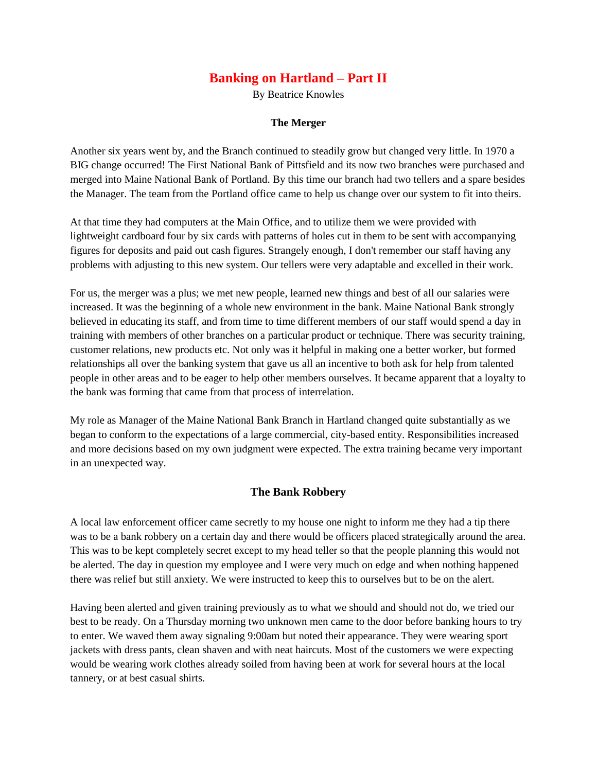## **Banking on Hartland – Part II**

By Beatrice Knowles

## **The Merger**

Another six years went by, and the Branch continued to steadily grow but changed very little. In 1970 a BIG change occurred! The First National Bank of Pittsfield and its now two branches were purchased and merged into Maine National Bank of Portland. By this time our branch had two tellers and a spare besides the Manager. The team from the Portland office came to help us change over our system to fit into theirs.

At that time they had computers at the Main Office, and to utilize them we were provided with lightweight cardboard four by six cards with patterns of holes cut in them to be sent with accompanying figures for deposits and paid out cash figures. Strangely enough, I don't remember our staff having any problems with adjusting to this new system. Our tellers were very adaptable and excelled in their work.

For us, the merger was a plus; we met new people, learned new things and best of all our salaries were increased. It was the beginning of a whole new environment in the bank. Maine National Bank strongly believed in educating its staff, and from time to time different members of our staff would spend a day in training with members of other branches on a particular product or technique. There was security training, customer relations, new products etc. Not only was it helpful in making one a better worker, but formed relationships all over the banking system that gave us all an incentive to both ask for help from talented people in other areas and to be eager to help other members ourselves. It became apparent that a loyalty to the bank was forming that came from that process of interrelation.

My role as Manager of the Maine National Bank Branch in Hartland changed quite substantially as we began to conform to the expectations of a large commercial, city-based entity. Responsibilities increased and more decisions based on my own judgment were expected. The extra training became very important in an unexpected way.

## **The Bank Robbery**

A local law enforcement officer came secretly to my house one night to inform me they had a tip there was to be a bank robbery on a certain day and there would be officers placed strategically around the area. This was to be kept completely secret except to my head teller so that the people planning this would not be alerted. The day in question my employee and I were very much on edge and when nothing happened there was relief but still anxiety. We were instructed to keep this to ourselves but to be on the alert.

Having been alerted and given training previously as to what we should and should not do, we tried our best to be ready. On a Thursday morning two unknown men came to the door before banking hours to try to enter. We waved them away signaling 9:00am but noted their appearance. They were wearing sport jackets with dress pants, clean shaven and with neat haircuts. Most of the customers we were expecting would be wearing work clothes already soiled from having been at work for several hours at the local tannery, or at best casual shirts.